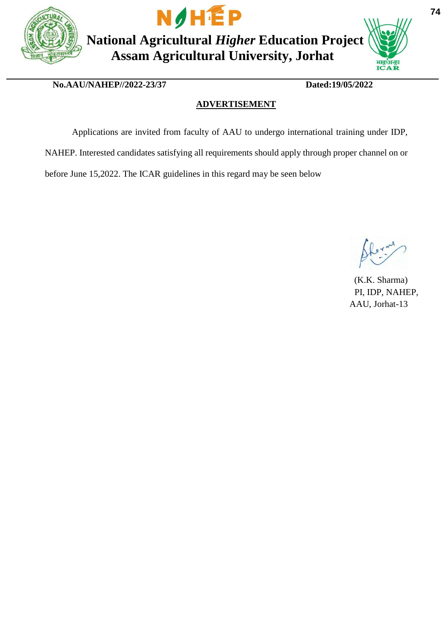



**National Agricultural** *Higher* **Education Project Assam Agricultural University, Jorhat**



 **No.AAU/NAHEP//2022-23/37 Dated:19/05/2022**

### **ADVERTISEMENT**

Applications are invited from faculty of AAU to undergo international training under IDP, NAHEP. Interested candidates satisfying all requirements should apply through proper channel on or

before June 15,2022. The ICAR guidelines in this regard may be seen below

(K.K. Sharma) PI, IDP, NAHEP, AAU, Jorhat-13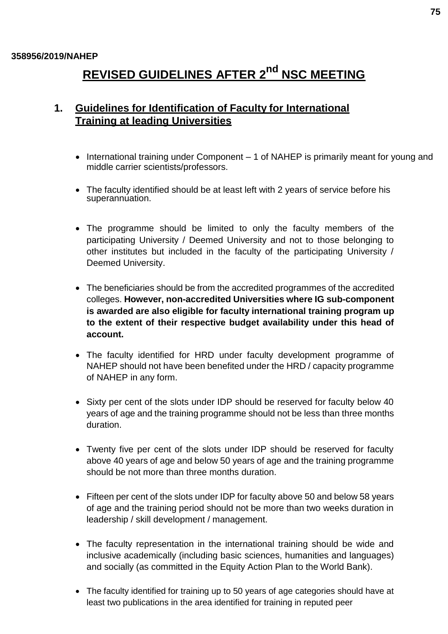#### **358956/2019/NAHEP**

# **REVISED GUIDELINES AFTER 2 nd NSC MEETING**

## **1. Guidelines for Identification of Faculty for International Training at leading Universities**

- International training under Component 1 of NAHEP is primarily meant for young and middle carrier scientists/professors.
- The faculty identified should be at least left with 2 years of service before his superannuation.
- The programme should be limited to only the faculty members of the participating University / Deemed University and not to those belonging to other institutes but included in the faculty of the participating University / Deemed University.
- The beneficiaries should be from the accredited programmes of the accredited colleges. **However, non-accredited Universities where IG sub-component is awarded are also eligible for faculty international training program up to the extent of their respective budget availability under this head of account.**
- The faculty identified for HRD under faculty development programme of NAHEP should not have been benefited under the HRD / capacity programme of NAHEP in any form.
- Sixty per cent of the slots under IDP should be reserved for faculty below 40 years of age and the training programme should not be less than three months duration.
- Twenty five per cent of the slots under IDP should be reserved for faculty above 40 years of age and below 50 years of age and the training programme should be not more than three months duration.
- Fifteen per cent of the slots under IDP for faculty above 50 and below 58 years of age and the training period should not be more than two weeks duration in leadership / skill development / management.
- The faculty representation in the international training should be wide and inclusive academically (including basic sciences, humanities and languages) and socially (as committed in the Equity Action Plan to the World Bank).
- The faculty identified for training up to 50 years of age categories should have at least two publications in the area identified for training in reputed peer